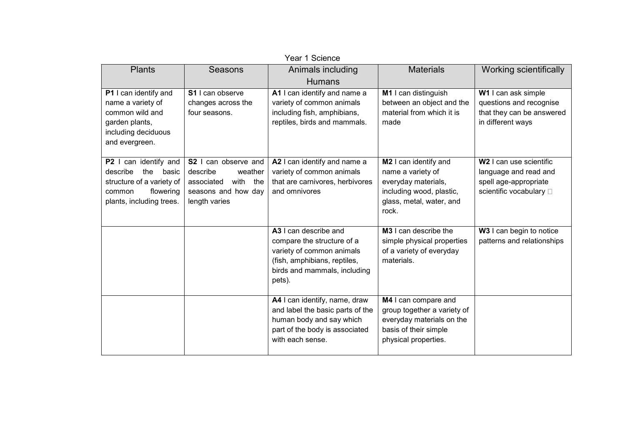| Year 1 Science                                                                                                                 |                                                                                                               |                                                                                                                                                            |                                                                                                                                    |                                                                                                                  |  |  |
|--------------------------------------------------------------------------------------------------------------------------------|---------------------------------------------------------------------------------------------------------------|------------------------------------------------------------------------------------------------------------------------------------------------------------|------------------------------------------------------------------------------------------------------------------------------------|------------------------------------------------------------------------------------------------------------------|--|--|
| <b>Plants</b>                                                                                                                  | <b>Seasons</b>                                                                                                | Animals including<br><b>Humans</b>                                                                                                                         | <b>Materials</b>                                                                                                                   | Working scientifically                                                                                           |  |  |
| P1 I can identify and<br>name a variety of<br>common wild and<br>garden plants,<br>including deciduous<br>and evergreen.       | S1 I can observe<br>changes across the<br>four seasons.                                                       | A1 I can identify and name a<br>variety of common animals<br>including fish, amphibians,<br>reptiles, birds and mammals.                                   | M1 I can distinguish<br>between an object and the<br>material from which it is<br>made                                             | W1 I can ask simple<br>questions and recognise<br>that they can be answered<br>in different ways                 |  |  |
| P2 I can identify and<br>describe<br>the basic<br>structure of a variety of<br>flowering<br>common<br>plants, including trees. | S2 I can observe and<br>describe<br>weather<br>with the<br>associated<br>seasons and how day<br>length varies | A2 I can identify and name a<br>variety of common animals<br>that are carnivores, herbivores<br>and omnivores                                              | M2 I can identify and<br>name a variety of<br>everyday materials,<br>including wood, plastic,<br>glass, metal, water, and<br>rock. | W <sub>2</sub> I can use scientific<br>language and read and<br>spell age-appropriate<br>scientific vocabulary □ |  |  |
|                                                                                                                                |                                                                                                               | A3 I can describe and<br>compare the structure of a<br>variety of common animals<br>(fish, amphibians, reptiles,<br>birds and mammals, including<br>pets). | M3 I can describe the<br>simple physical properties<br>of a variety of everyday<br>materials.                                      | W3 I can begin to notice<br>patterns and relationships                                                           |  |  |
|                                                                                                                                |                                                                                                               | A4 I can identify, name, draw<br>and label the basic parts of the<br>human body and say which<br>part of the body is associated<br>with each sense.        | M4 I can compare and<br>group together a variety of<br>everyday materials on the<br>basis of their simple<br>physical properties.  |                                                                                                                  |  |  |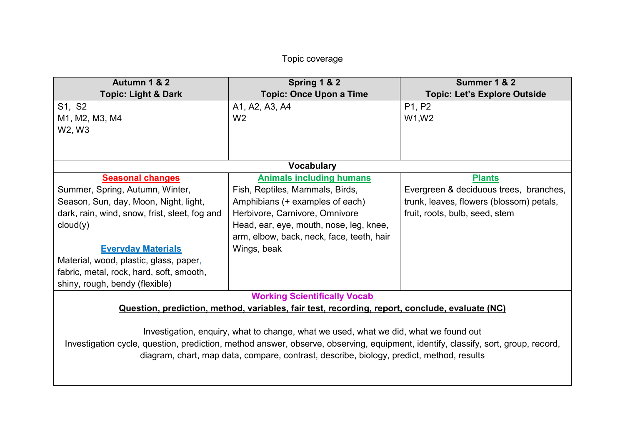## Topic coverage

| Autumn 1 & 2                                                                                                                      | Spring 1 & 2                                                                                   | Summer 1 & 2                             |  |  |  |  |
|-----------------------------------------------------------------------------------------------------------------------------------|------------------------------------------------------------------------------------------------|------------------------------------------|--|--|--|--|
| <b>Topic: Light &amp; Dark</b>                                                                                                    | <b>Topic: Once Upon a Time</b>                                                                 | <b>Topic: Let's Explore Outside</b>      |  |  |  |  |
| S1, S2                                                                                                                            | A1, A2, A3, A4                                                                                 | P1, P2                                   |  |  |  |  |
| M1, M2, M3, M4                                                                                                                    | W <sub>2</sub>                                                                                 | W1, W2                                   |  |  |  |  |
| W2, W3                                                                                                                            |                                                                                                |                                          |  |  |  |  |
|                                                                                                                                   |                                                                                                |                                          |  |  |  |  |
|                                                                                                                                   |                                                                                                |                                          |  |  |  |  |
| <b>Vocabulary</b>                                                                                                                 |                                                                                                |                                          |  |  |  |  |
| <b>Seasonal changes</b>                                                                                                           | <b>Animals including humans</b>                                                                | <b>Plants</b>                            |  |  |  |  |
| Summer, Spring, Autumn, Winter,                                                                                                   | Fish, Reptiles, Mammals, Birds,                                                                | Evergreen & deciduous trees, branches,   |  |  |  |  |
| Season, Sun, day, Moon, Night, light,                                                                                             | Amphibians (+ examples of each)                                                                | trunk, leaves, flowers (blossom) petals, |  |  |  |  |
| dark, rain, wind, snow, frist, sleet, fog and                                                                                     | Herbivore, Carnivore, Omnivore                                                                 | fruit, roots, bulb, seed, stem           |  |  |  |  |
| cloud(y)                                                                                                                          | Head, ear, eye, mouth, nose, leg, knee,                                                        |                                          |  |  |  |  |
|                                                                                                                                   | arm, elbow, back, neck, face, teeth, hair                                                      |                                          |  |  |  |  |
| <b>Everyday Materials</b>                                                                                                         | Wings, beak                                                                                    |                                          |  |  |  |  |
| Material, wood, plastic, glass, paper,                                                                                            |                                                                                                |                                          |  |  |  |  |
| fabric, metal, rock, hard, soft, smooth,                                                                                          |                                                                                                |                                          |  |  |  |  |
| shiny, rough, bendy (flexible)                                                                                                    |                                                                                                |                                          |  |  |  |  |
|                                                                                                                                   | <b>Working Scientifically Vocab</b>                                                            |                                          |  |  |  |  |
|                                                                                                                                   | Question, prediction, method, variables, fair test, recording, report, conclude, evaluate (NC) |                                          |  |  |  |  |
|                                                                                                                                   |                                                                                                |                                          |  |  |  |  |
| Investigation, enquiry, what to change, what we used, what we did, what we found out                                              |                                                                                                |                                          |  |  |  |  |
| Investigation cycle, question, prediction, method answer, observe, observing, equipment, identify, classify, sort, group, record, |                                                                                                |                                          |  |  |  |  |
| diagram, chart, map data, compare, contrast, describe, biology, predict, method, results                                          |                                                                                                |                                          |  |  |  |  |
|                                                                                                                                   |                                                                                                |                                          |  |  |  |  |
|                                                                                                                                   |                                                                                                |                                          |  |  |  |  |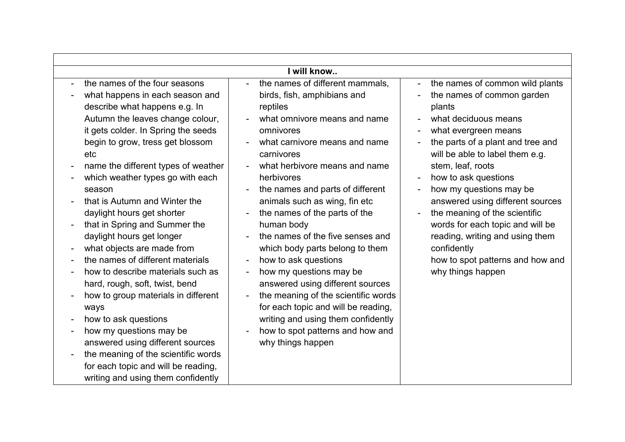| I will know                                                                                                                                      |                                                                                                                                                                                                                                                                                                                                                                                                                                                                                                                                                                                                                                                                                                                                                                                                                                              |                                                                                                                                                                                                                                                                                                                                                                                                                                                                                                                                                                                                                                                                                                                                                                                                                                                                                                                                                                                                                                                                                                                                                                                                                                                                                                           |  |  |  |  |
|--------------------------------------------------------------------------------------------------------------------------------------------------|----------------------------------------------------------------------------------------------------------------------------------------------------------------------------------------------------------------------------------------------------------------------------------------------------------------------------------------------------------------------------------------------------------------------------------------------------------------------------------------------------------------------------------------------------------------------------------------------------------------------------------------------------------------------------------------------------------------------------------------------------------------------------------------------------------------------------------------------|-----------------------------------------------------------------------------------------------------------------------------------------------------------------------------------------------------------------------------------------------------------------------------------------------------------------------------------------------------------------------------------------------------------------------------------------------------------------------------------------------------------------------------------------------------------------------------------------------------------------------------------------------------------------------------------------------------------------------------------------------------------------------------------------------------------------------------------------------------------------------------------------------------------------------------------------------------------------------------------------------------------------------------------------------------------------------------------------------------------------------------------------------------------------------------------------------------------------------------------------------------------------------------------------------------------|--|--|--|--|
| $\overline{\phantom{a}}$<br>$\overline{a}$<br>$\overline{\phantom{a}}$<br>$\overline{\phantom{a}}$<br>$\overline{\phantom{a}}$<br>$\overline{a}$ | the names of the four seasons<br>what happens in each season and<br>describe what happens e.g. In<br>Autumn the leaves change colour,<br>it gets colder. In Spring the seeds<br>begin to grow, tress get blossom<br>etc<br>name the different types of weather<br>which weather types go with each<br>season<br>that is Autumn and Winter the<br>daylight hours get shorter<br>that in Spring and Summer the<br>daylight hours get longer<br>what objects are made from<br>the names of different materials<br>how to describe materials such as<br>hard, rough, soft, twist, bend<br>how to group materials in different<br>ways<br>how to ask questions<br>how my questions may be<br>answered using different sources<br>the meaning of the scientific words<br>for each topic and will be reading,<br>writing and using them confidently | the names of different mammals,<br>the names of common wild plants<br>$\blacksquare$<br>$\blacksquare$<br>birds, fish, amphibians and<br>the names of common garden<br>reptiles<br>plants<br>what omnivore means and name<br>what deciduous means<br>omnivores<br>what evergreen means<br>$\blacksquare$<br>what carnivore means and name<br>the parts of a plant and tree and<br>will be able to label them e.g.<br>carnivores<br>what herbivore means and name<br>stem, leaf, roots<br>herbivores<br>how to ask questions<br>$\blacksquare$<br>how my questions may be<br>the names and parts of different<br>$\overline{\phantom{a}}$<br>$\blacksquare$<br>animals such as wing, fin etc<br>answered using different sources<br>the names of the parts of the<br>the meaning of the scientific<br>words for each topic and will be<br>human body<br>the names of the five senses and<br>reading, writing and using them<br>which body parts belong to them<br>confidently<br>how to ask questions<br>how to spot patterns and how and<br>why things happen<br>how my questions may be<br>answered using different sources<br>the meaning of the scientific words<br>for each topic and will be reading,<br>writing and using them confidently<br>how to spot patterns and how and<br>why things happen |  |  |  |  |